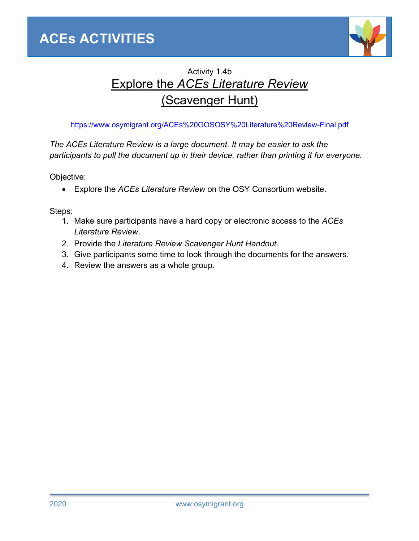

## Activity 1.4b Explore the *ACEs Literature Review* (Scavenger Hunt)

https://www.osymigrant.org/ACEs%20GOSOSY%20Literature%20Review-Final.pdf

*The ACEs Literature Review is a large document. It may be easier to ask the participants to pull the document up in their device, rather than printing it for everyone.* 

Objective:

• Explore the *ACEs Literature Review* on the OSY Consortium website.

Steps:

- 1. Make sure participants have a hard copy or electronic access to the *ACEs Literature Review*.
- 2. Provide the *Literature Review Scavenger Hunt Handout*.
- 3. Give participants some time to look through the documents for the answers.
- 4. Review the answers as a whole group.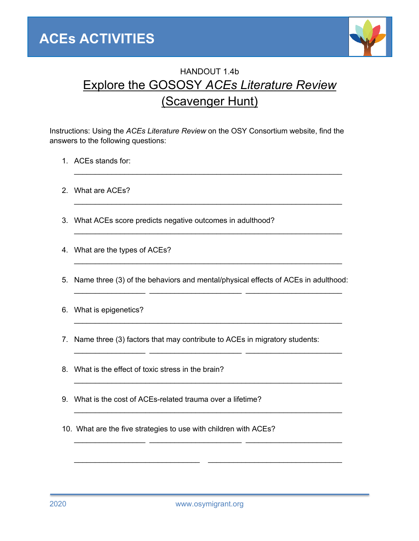

## HANDOUT 1.4b Explore the GOSOSY *ACEs Literature Review* (Scavenger Hunt)

Instructions: Using the *ACEs Literature Review* on the OSY Consortium website, find the answers to the following questions:

 $\mathcal{L}_\text{max}$  , and the contract of the contract of the contract of the contract of the contract of the contract of

 $\mathcal{L}_\text{max} = \mathcal{L}_\text{max} = \mathcal{L}_\text{max} = \mathcal{L}_\text{max} = \mathcal{L}_\text{max} = \mathcal{L}_\text{max} = \mathcal{L}_\text{max} = \mathcal{L}_\text{max} = \mathcal{L}_\text{max} = \mathcal{L}_\text{max} = \mathcal{L}_\text{max} = \mathcal{L}_\text{max} = \mathcal{L}_\text{max} = \mathcal{L}_\text{max} = \mathcal{L}_\text{max} = \mathcal{L}_\text{max} = \mathcal{L}_\text{max} = \mathcal{L}_\text{max} = \mathcal{$ 

 $\mathcal{L}_\text{max}$  , and the contract of the contract of the contract of the contract of the contract of the contract of

 $\mathcal{L}_\text{max} = \mathcal{L}_\text{max} = \mathcal{L}_\text{max} = \mathcal{L}_\text{max} = \mathcal{L}_\text{max} = \mathcal{L}_\text{max} = \mathcal{L}_\text{max} = \mathcal{L}_\text{max} = \mathcal{L}_\text{max} = \mathcal{L}_\text{max} = \mathcal{L}_\text{max} = \mathcal{L}_\text{max} = \mathcal{L}_\text{max} = \mathcal{L}_\text{max} = \mathcal{L}_\text{max} = \mathcal{L}_\text{max} = \mathcal{L}_\text{max} = \mathcal{L}_\text{max} = \mathcal{$ 

- 1. ACEs stands for:
- 2. What are ACEs?
- 3. What ACEs score predicts negative outcomes in adulthood?
- 4. What are the types of ACEs?
- 5. Name three (3) of the behaviors and mental/physical effects of ACEs in adulthood:  $\_$  , and the state of the state of the state of the state of the state of the state of the state of the state of the state of the state of the state of the state of the state of the state of the state of the state of the

 $\mathcal{L}_\text{max} = \mathcal{L}_\text{max} = \mathcal{L}_\text{max} = \mathcal{L}_\text{max} = \mathcal{L}_\text{max} = \mathcal{L}_\text{max} = \mathcal{L}_\text{max} = \mathcal{L}_\text{max} = \mathcal{L}_\text{max} = \mathcal{L}_\text{max} = \mathcal{L}_\text{max} = \mathcal{L}_\text{max} = \mathcal{L}_\text{max} = \mathcal{L}_\text{max} = \mathcal{L}_\text{max} = \mathcal{L}_\text{max} = \mathcal{L}_\text{max} = \mathcal{L}_\text{max} = \mathcal{$ 

 $\_$  , and the state of the state of the state of the state of the state of the state of the state of the state of the state of the state of the state of the state of the state of the state of the state of the state of the

 $\mathcal{L}_\text{max} = \mathcal{L}_\text{max} = \mathcal{L}_\text{max} = \mathcal{L}_\text{max} = \mathcal{L}_\text{max} = \mathcal{L}_\text{max} = \mathcal{L}_\text{max} = \mathcal{L}_\text{max} = \mathcal{L}_\text{max} = \mathcal{L}_\text{max} = \mathcal{L}_\text{max} = \mathcal{L}_\text{max} = \mathcal{L}_\text{max} = \mathcal{L}_\text{max} = \mathcal{L}_\text{max} = \mathcal{L}_\text{max} = \mathcal{L}_\text{max} = \mathcal{L}_\text{max} = \mathcal{$ 

 $\_$  , and the state of the state of the state of the state of the state of the state of the state of the state of the state of the state of the state of the state of the state of the state of the state of the state of the

\_\_\_\_\_\_\_\_\_\_\_\_\_\_\_\_\_\_\_\_\_\_\_\_\_\_\_\_\_\_ \_\_\_\_\_\_\_\_\_\_\_\_\_\_\_\_\_\_\_\_\_\_\_\_\_\_\_\_\_\_\_\_

- 6. What is epigenetics?
- 7. Name three (3) factors that may contribute to ACEs in migratory students:
- 8. What is the effect of toxic stress in the brain?
- 9. What is the cost of ACEs-related trauma over a lifetime?
- 10. What are the five strategies to use with children with ACEs?